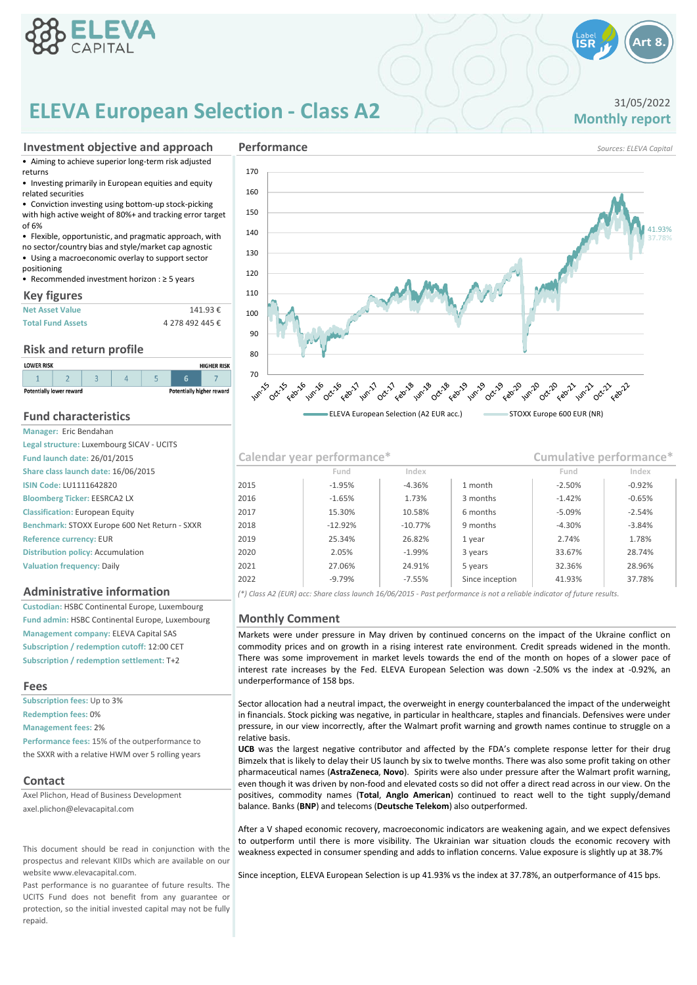

# **ELEVA European Selection - Class A2** 31/05/2022<br>Monthly report

### **Investment objective and approach**

• Aiming to achieve superior long-term risk adjusted returns

• Investing primarily in European equities and equity related securities

• Conviction investing using bottom-up stock-picking with high active weight of 80%+ and tracking error target

of 6% • Flexible, opportunistic, and pragmatic approach, with

no sector/country bias and style/market cap agnostic

• Using a macroeconomic overlay to support sector positioning

• Recommended investment horizon : ≥ 5 years

### **Key figures**

| <b>Net Asset Value</b>   | 141.93€         |
|--------------------------|-----------------|
| <b>Total Fund Assets</b> | 4 278 492 445 € |

### **Risk and return profile**

| <b>LOWER RISK</b>                                                   |  |  |  | <b>HIGHER RISK</b> |  |  |
|---------------------------------------------------------------------|--|--|--|--------------------|--|--|
|                                                                     |  |  |  |                    |  |  |
| <b>Potentially higher reward</b><br><b>Potentially lower reward</b> |  |  |  |                    |  |  |

### **Fund characteristics Manager:** Eric Bendahan

| ividilagel. Lill belludildil                  |
|-----------------------------------------------|
| Legal structure: Luxembourg SICAV - UCITS     |
| <b>Fund launch date: 26/01/2015</b>           |
| Share class launch date: 16/06/2015           |
| <b>ISIN Code: LU1111642820</b>                |
| <b>Bloomberg Ticker: EESRCA2 LX</b>           |
| <b>Classification: European Equity</b>        |
| Benchmark: STOXX Europe 600 Net Return - SXXR |
| Reference currency: EUR                       |
| <b>Distribution policy: Accumulation</b>      |
| <b>Valuation frequency: Daily</b>             |

### **Administrative information**

**Custodian:** HSBC Continental Europe, Luxembourg **Fund admin:** HSBC Continental Europe, Luxembourg **Management company:** ELEVA Capital SAS **Subscription / redemption cutoff:** 12:00 CET **Subscription / redemption settlement:** T+2

### **Fees**

**Redemption fees:** 0% **Management fees:** 2% **Performance fees:** 15% of the outperformance to the SXXR with a relative HWM over 5 rolling years **Subscription fees:** Up to 3%

### **Contact**

Axel Plichon, Head of Business Development axel.plichon@elevacapital.com

This document should be read in conjunction with the prospectus and relevant KIIDs which are available on our website www.elevacapital.com.

Past performance is no guarantee of future results. The UCITS Fund does not benefit from any guarantee or protection, so the initial invested capital may not be fully repaid.



**Performance** *Sources: ELEVA Capital*

### **Valuation frequency:** Daily 28.96% 2022  $\vert$  -9.79%  $\vert$  -7.55% Since inception  $\vert$  41.93%  $\vert$  37.78% 2021 27.06% 24.91% 5 years 32.36% **Reference currency:** EUR 1.78% 2020 | 2.05% | -1.99% | 3 years | 33.67% | 28.74% 2019 25.34% 26.82% 1 year 2.74% 2018 -12.92% -10.77% 9 months -4.30% -3.84% **Classification:** European Equity 2017 15.30% 10.58% 6 months -5.09% 2016 -1.65% 1.73% 3 months **Share class launch date: 16/06/2015 Fund Index Fund Index** -1.42% -0.65% -2.54% **Fund Index Fund launch date:** 26/01/2015 **Calendar year performance\* Cumulative performance\* ISIN Code:** LU1111642820 2015 -1.95% -4.36% 1 month -2.50% -0.92%

*(\*) Class A2 (EUR) acc: Share class launch 16/06/2015 - Past performance is not a reliable indicator of future results.*

### **Monthly Comment**

Markets were under pressure in May driven by continued concerns on the impact of the Ukraine conflict on commodity prices and on growth in a rising interest rate environment. Credit spreads widened in the month. There was some improvement in market levels towards the end of the month on hopes of a slower pace of interest rate increases by the Fed. ELEVA European Selection was down -2.50% vs the index at -0.92%, an underperformance of 158 bps.

Sector allocation had a neutral impact, the overweight in energy counterbalanced the impact of the underweight in financials. Stock picking was negative, in particular in healthcare, staples and financials. Defensives were under pressure, in our view incorrectly, after the Walmart profit warning and growth names continue to struggle on a relative basis.

**UCB** was the largest negative contributor and affected by the FDA's complete response letter for their drug Bimzelx that is likely to delay their US launch by six to twelve months. There was also some profit taking on other pharmaceutical names (**AstraZeneca**, **Novo**). Spirits were also under pressure after the Walmart profit warning, even though it was driven by non-food and elevated costs so did not offer a direct read across in our view. On the positives, commodity names (**Total**, **Anglo American**) continued to react well to the tight supply/demand balance. Banks (**BNP**) and telecoms (**Deutsche Telekom**) also outperformed.

After a V shaped economic recovery, macroeconomic indicators are weakening again, and we expect defensives to outperform until there is more visibility. The Ukrainian war situation clouds the economic recovery with weakness expected in consumer spending and adds to inflation concerns. Value exposure is slightly up at 38.7%

Since inception, ELEVA European Selection is up 41.93% vs the index at 37.78%, an outperformance of 415 bps.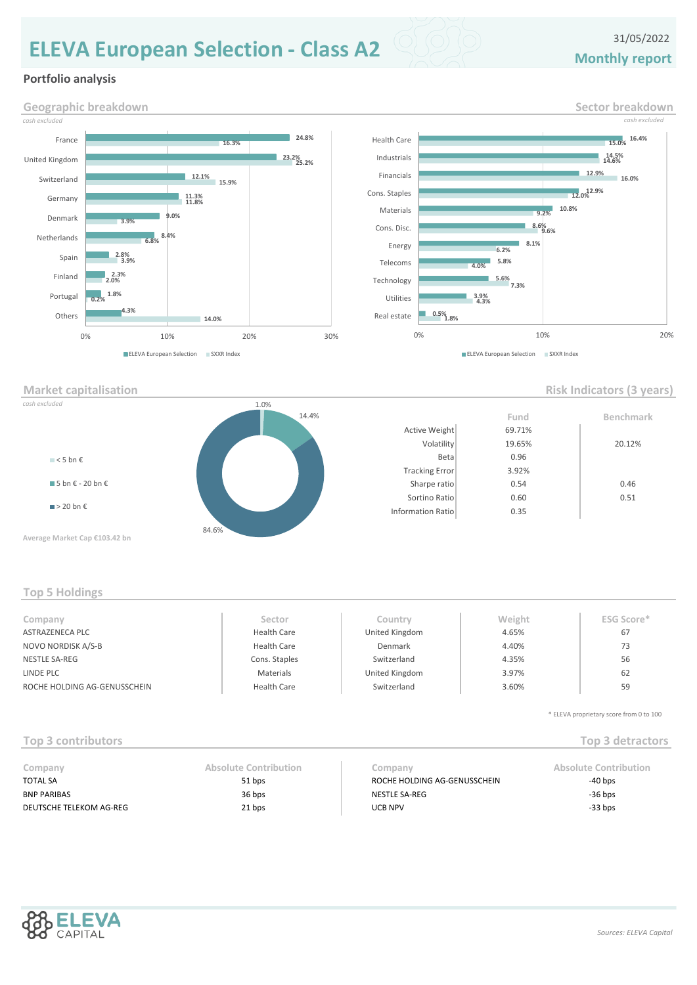# **Monthly report ELEVA European Selection - Class A2** 31/05/2022

### **Portfolio analysis**







### **Top 5 Holdings**

| Company                      | Sector             | Country        | Weight | <b>ESG Score*</b> |
|------------------------------|--------------------|----------------|--------|-------------------|
| ASTRAZENECA PLC              | <b>Health Care</b> | United Kingdom | 4.65%  | 67                |
| NOVO NORDISK A/S-B           | <b>Health Care</b> | Denmark        | 4.40%  | 73                |
| NESTLE SA-REG                | Cons. Staples      | Switzerland    | 4.35%  | 56                |
| LINDE PLC                    | Materials          | United Kingdom | 3.97%  | 62                |
| ROCHE HOLDING AG-GENUSSCHEIN | <b>Health Care</b> | Switzerland    | 3.60%  | 59                |
|                              |                    |                |        |                   |

\* ELEVA proprietary score from 0 to 100

## **Top 3 contributors Top 3 detractors**

| Company                 | Absolute Contribution | Company                      | <b>Absolute Contribution</b> |
|-------------------------|-----------------------|------------------------------|------------------------------|
| <b>TOTAL SA</b>         | 51 bps                | ROCHE HOLDING AG-GENUSSCHEIN | $-40$ bps                    |
| <b>BNP PARIBAS</b>      | 36 bps                | NESTLE SA-REG                | $-36$ bps                    |
| DEUTSCHE TELEKOM AG-REG | 21 bps                | <b>UCB NPV</b>               | $-33$ bps                    |